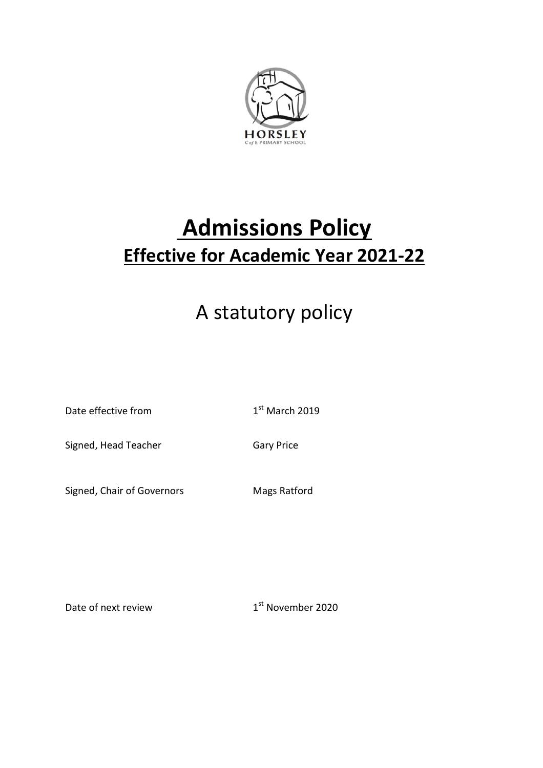

# **Admissions Policy Effective for Academic Year 2021-22**

## A statutory policy

Date effective from 1

 $1<sup>st</sup>$  March 2019

Signed, Head Teacher Gary Price

Signed, Chair of Governors Mags Ratford

Date of next review 1

1<sup>st</sup> November 2020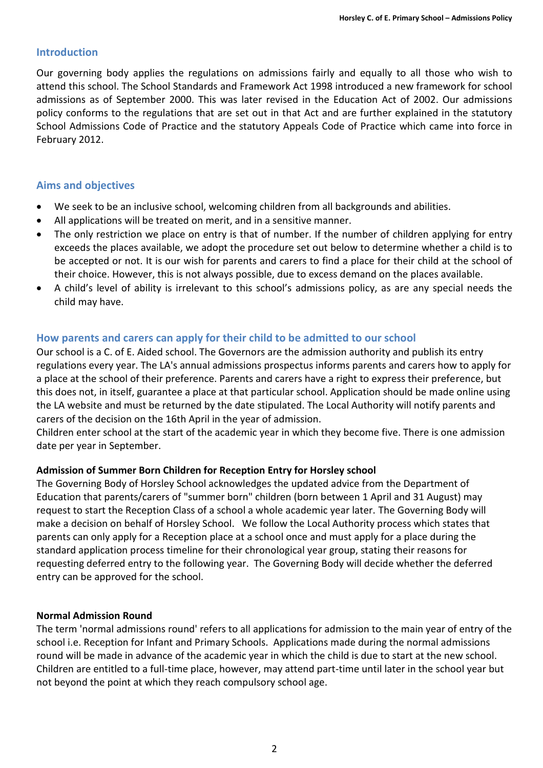#### **Introduction**

Our governing body applies the regulations on admissions fairly and equally to all those who wish to attend this school. The School Standards and Framework Act 1998 introduced a new framework for school admissions as of September 2000. This was later revised in the Education Act of 2002. Our admissions policy conforms to the regulations that are set out in that Act and are further explained in the statutory School Admissions Code of Practice and the statutory Appeals Code of Practice which came into force in February 2012.

## **Aims and objectives**

- We seek to be an inclusive school, welcoming children from all backgrounds and abilities.
- All applications will be treated on merit, and in a sensitive manner.
- The only restriction we place on entry is that of number. If the number of children applying for entry exceeds the places available, we adopt the procedure set out below to determine whether a child is to be accepted or not. It is our wish for parents and carers to find a place for their child at the school of their choice. However, this is not always possible, due to excess demand on the places available.
- A child's level of ability is irrelevant to this school's admissions policy, as are any special needs the child may have.

## **How parents and carers can apply for their child to be admitted to our school**

Our school is a C. of E. Aided school. The Governors are the admission authority and publish its entry regulations every year. The LA's annual admissions prospectus informs parents and carers how to apply for a place at the school of their preference. Parents and carers have a right to express their preference, but this does not, in itself, guarantee a place at that particular school. Application should be made online using the LA website and must be returned by the date stipulated. The Local Authority will notify parents and carers of the decision on the 16th April in the year of admission.

Children enter school at the start of the academic year in which they become five. There is one admission date per year in September.

#### **Admission of Summer Born Children for Reception Entry for Horsley school**

The Governing Body of Horsley School acknowledges the updated advice from the Department of Education that parents/carers of "summer born" children (born between 1 April and 31 August) may request to start the Reception Class of a school a whole academic year later. The Governing Body will make a decision on behalf of Horsley School. We follow the Local Authority process which states that parents can only apply for a Reception place at a school once and must apply for a place during the standard application process timeline for their chronological year group, stating their reasons for requesting deferred entry to the following year. The Governing Body will decide whether the deferred entry can be approved for the school.

#### **Normal Admission Round**

The term 'normal admissions round' refers to all applications for admission to the main year of entry of the school i.e. Reception for Infant and Primary Schools. Applications made during the normal admissions round will be made in advance of the academic year in which the child is due to start at the new school. Children are entitled to a full-time place, however, may attend part-time until later in the school year but not beyond the point at which they reach compulsory school age.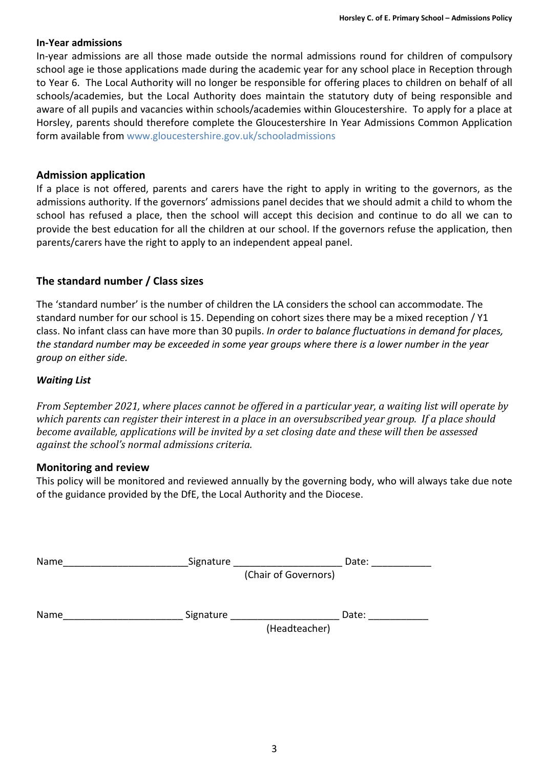#### **In-Year admissions**

In-year admissions are all those made outside the normal admissions round for children of compulsory school age ie those applications made during the academic year for any school place in Reception through to Year 6. The Local Authority will no longer be responsible for offering places to children on behalf of all schools/academies, but the Local Authority does maintain the statutory duty of being responsible and aware of all pupils and vacancies within schools/academies within Gloucestershire. To apply for a place at Horsley, parents should therefore complete the Gloucestershire In Year Admissions Common Application form available from www.gloucestershire.gov.uk/schooladmissions

#### **Admission application**

If a place is not offered, parents and carers have the right to apply in writing to the governors, as the admissions authority. If the governors' admissions panel decides that we should admit a child to whom the school has refused a place, then the school will accept this decision and continue to do all we can to provide the best education for all the children at our school. If the governors refuse the application, then parents/carers have the right to apply to an independent appeal panel.

## **The standard number / Class sizes**

The 'standard number' is the number of children the LA considers the school can accommodate. The standard number for our school is 15. Depending on cohort sizes there may be a mixed reception / Y1 class. No infant class can have more than 30 pupils. *In order to balance fluctuations in demand for places,* the standard number may be exceeded in some year groups where there is a lower number in the year *group on either side.*

#### *Waiting List*

From September 2021, where places cannot be offered in a particular year, a waiting list will operate by *which parents can register their interest in a place in an oversubscribed year group. If a place should become available, applications will be invited by a set closing date and these will then be assessed against the school's normal admissions criteria.*

#### **Monitoring and review**

This policy will be monitored and reviewed annually by the governing body, who will always take due note of the guidance provided by the DfE, the Local Authority and the Diocese.

| Name | Signature |                      | Date: |
|------|-----------|----------------------|-------|
|      |           | (Chair of Governors) |       |
|      |           |                      |       |
| Name | Signature |                      | Date: |
|      |           | (Headteacher)        |       |